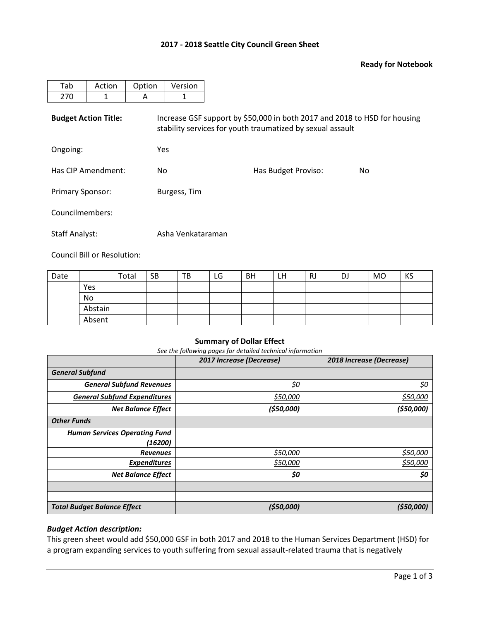# **2017 - 2018 Seattle City Council Green Sheet**

#### **Ready for Notebook**

| Tab                         | Action | Option | Version                                                                                                                                 |                     |     |  |  |  |  |  |  |
|-----------------------------|--------|--------|-----------------------------------------------------------------------------------------------------------------------------------------|---------------------|-----|--|--|--|--|--|--|
| 270                         | 1      | A      | 1                                                                                                                                       |                     |     |  |  |  |  |  |  |
| <b>Budget Action Title:</b> |        |        | Increase GSF support by \$50,000 in both 2017 and 2018 to HSD for housing<br>stability services for youth traumatized by sexual assault |                     |     |  |  |  |  |  |  |
| Ongoing:                    |        |        | <b>Yes</b>                                                                                                                              |                     |     |  |  |  |  |  |  |
| Has CIP Amendment:          |        | No.    |                                                                                                                                         | Has Budget Proviso: | No. |  |  |  |  |  |  |
| <b>Primary Sponsor:</b>     |        |        | Burgess, Tim                                                                                                                            |                     |     |  |  |  |  |  |  |
| Councilmembers:             |        |        |                                                                                                                                         |                     |     |  |  |  |  |  |  |
| <b>Staff Analyst:</b>       |        |        | Asha Venkataraman                                                                                                                       |                     |     |  |  |  |  |  |  |

Council Bill or Resolution:

| Date |         | Total | <b>SB</b> | TB | LG | BH | LH | RJ | DJ | MO | KS |
|------|---------|-------|-----------|----|----|----|----|----|----|----|----|
|      | Yes     |       |           |    |    |    |    |    |    |    |    |
|      | No      |       |           |    |    |    |    |    |    |    |    |
|      | Abstain |       |           |    |    |    |    |    |    |    |    |
|      | Absent  |       |           |    |    |    |    |    |    |    |    |

#### **Summary of Dollar Effect**

*See the following pages for detailed technical information*

|                                      | 2017 Increase (Decrease) | 2018 Increase (Decrease) |
|--------------------------------------|--------------------------|--------------------------|
| <b>General Subfund</b>               |                          |                          |
| <b>General Subfund Revenues</b>      | \$0                      | \$0                      |
| <b>General Subfund Expenditures</b>  | \$50,000                 | \$50,000                 |
| <b>Net Balance Effect</b>            | ( \$50,000]              | (550,000)                |
| <b>Other Funds</b>                   |                          |                          |
| <b>Human Services Operating Fund</b> |                          |                          |
| (16200)                              |                          |                          |
| <b>Revenues</b>                      | \$50,000                 | \$50,000                 |
| <b>Expenditures</b>                  | \$50,000                 | \$50,000                 |
| <b>Net Balance Effect</b>            | \$0                      | \$0                      |
|                                      |                          |                          |
|                                      |                          |                          |
| <b>Total Budget Balance Effect</b>   | (550,000)                | (550,000)                |

### *Budget Action description:*

This green sheet would add \$50,000 GSF in both 2017 and 2018 to the Human Services Department (HSD) for a program expanding services to youth suffering from sexual assault-related trauma that is negatively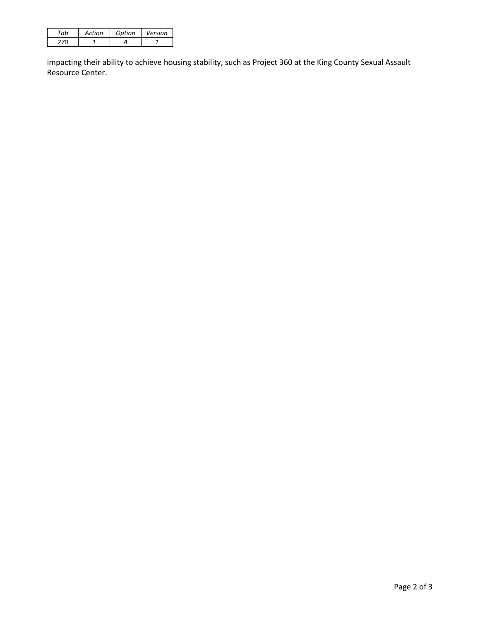| Action | Ontion | Version |
|--------|--------|---------|
|        |        |         |

impacting their ability to achieve housing stability, such as Project 360 at the King County Sexual Assault Resource Center.